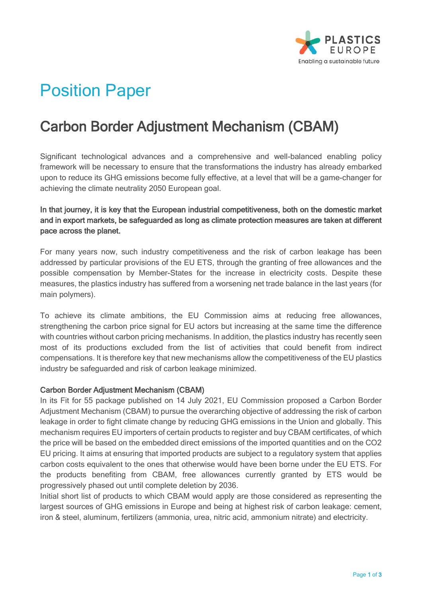

# Position Paper

# Carbon Border Adjustment Mechanism (CBAM)

Significant technological advances and a comprehensive and well-balanced enabling policy framework will be necessary to ensure that the transformations the industry has already embarked upon to reduce its GHG emissions become fully effective, at a level that will be a game-changer for achieving the climate neutrality 2050 European goal.

## In that journey, it is key that the European industrial competitiveness, both on the domestic market and in export markets, be safeguarded as long as climate protection measures are taken at different pace across the planet.

For many years now, such industry competitiveness and the risk of carbon leakage has been addressed by particular provisions of the EU ETS, through the granting of free allowances and the possible compensation by Member-States for the increase in electricity costs. Despite these measures, the plastics industry has suffered from a worsening net trade balance in the last years (for main polymers).

To achieve its climate ambitions, the EU Commission aims at reducing free allowances, strengthening the carbon price signal for EU actors but increasing at the same time the difference with countries without carbon pricing mechanisms. In addition, the plastics industry has recently seen most of its productions excluded from the list of activities that could benefit from indirect compensations. It is therefore key that new mechanisms allow the competitiveness of the EU plastics industry be safeguarded and risk of carbon leakage minimized.

#### Carbon Border Adjustment Mechanism (CBAM)

In its Fit for 55 package published on 14 July 2021, EU Commission proposed a Carbon Border Adjustment Mechanism (CBAM) to pursue the overarching objective of addressing the risk of carbon leakage in order to fight climate change by reducing GHG emissions in the Union and globally. This mechanism requires EU importers of certain products to register and buy CBAM certificates, of which the price will be based on the embedded direct emissions of the imported quantities and on the CO2 EU pricing. It aims at ensuring that imported products are subject to a regulatory system that applies carbon costs equivalent to the ones that otherwise would have been borne under the EU ETS. For the products benefiting from CBAM, free allowances currently granted by ETS would be progressively phased out until complete deletion by 2036.

Initial short list of products to which CBAM would apply are those considered as representing the largest sources of GHG emissions in Europe and being at highest risk of carbon leakage: cement, iron & steel, aluminum, fertilizers (ammonia, urea, nitric acid, ammonium nitrate) and electricity.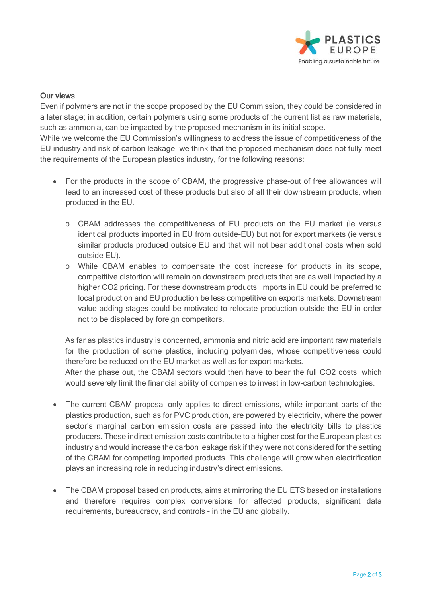

#### Our views

Even if polymers are not in the scope proposed by the EU Commission, they could be considered in a later stage; in addition, certain polymers using some products of the current list as raw materials, such as ammonia, can be impacted by the proposed mechanism in its initial scope.

While we welcome the EU Commission's willingness to address the issue of competitiveness of the EU industry and risk of carbon leakage, we think that the proposed mechanism does not fully meet the requirements of the European plastics industry, for the following reasons:

- For the products in the scope of CBAM, the progressive phase-out of free allowances will lead to an increased cost of these products but also of all their downstream products, when produced in the EU.
	- o CBAM addresses the competitiveness of EU products on the EU market (ie versus identical products imported in EU from outside-EU) but not for export markets (ie versus similar products produced outside EU and that will not bear additional costs when sold outside EU).
	- o While CBAM enables to compensate the cost increase for products in its scope, competitive distortion will remain on downstream products that are as well impacted by a higher CO2 pricing. For these downstream products, imports in EU could be preferred to local production and EU production be less competitive on exports markets. Downstream value-adding stages could be motivated to relocate production outside the EU in order not to be displaced by foreign competitors.

As far as plastics industry is concerned, ammonia and nitric acid are important raw materials for the production of some plastics, including polyamides, whose competitiveness could therefore be reduced on the EU market as well as for export markets.

After the phase out, the CBAM sectors would then have to bear the full CO2 costs, which would severely limit the financial ability of companies to invest in low-carbon technologies.

- The current CBAM proposal only applies to direct emissions, while important parts of the plastics production, such as for PVC production, are powered by electricity, where the power sector's marginal carbon emission costs are passed into the electricity bills to plastics producers. These indirect emission costs contribute to a higher cost for the European plastics industry and would increase the carbon leakage risk if they were not considered for the setting of the CBAM for competing imported products. This challenge will grow when electrification plays an increasing role in reducing industry's direct emissions.
- The CBAM proposal based on products, aims at mirroring the EU ETS based on installations and therefore requires complex conversions for affected products, significant data requirements, bureaucracy, and controls - in the EU and globally.